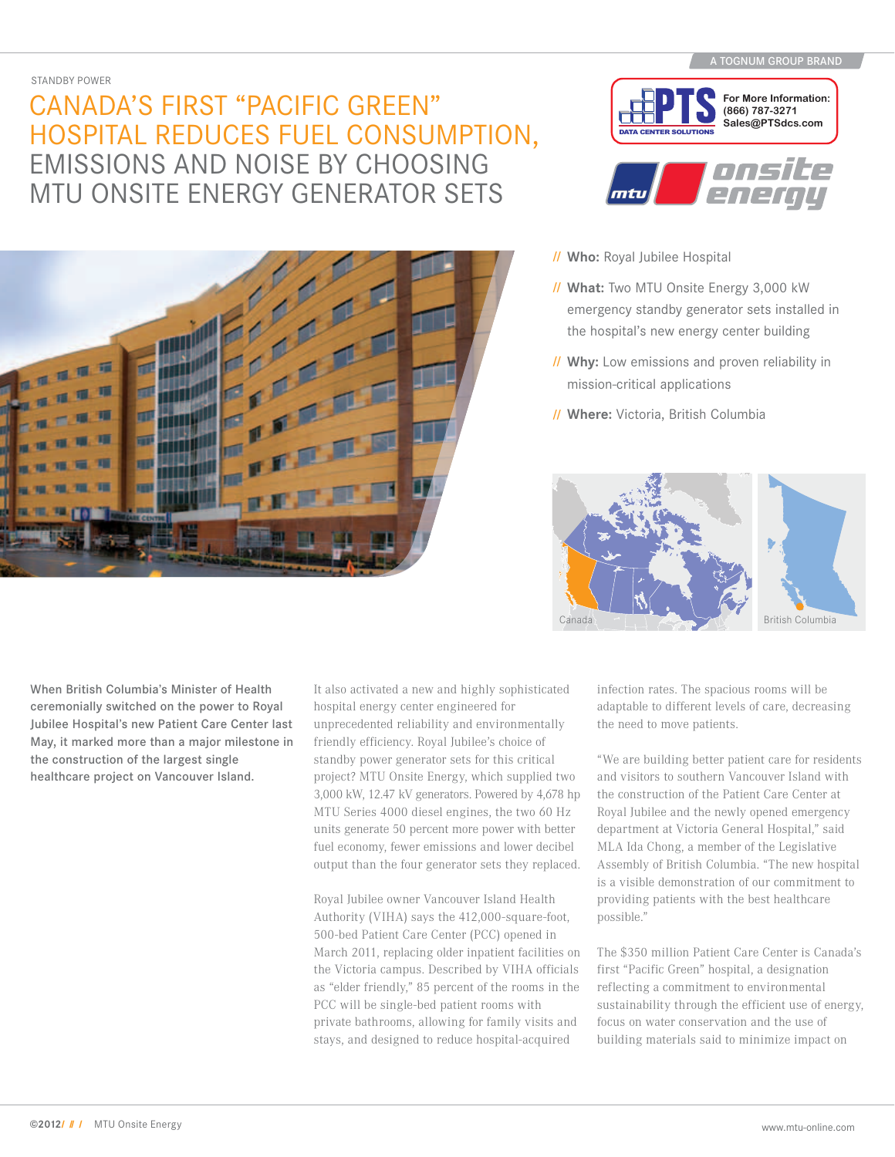## STANDRY POWER

# CANADA'S FIRST "PACIFIC GREEN" HOSPITAL REDUCES FUEL CONSUMPTION, EMISSIONS AND NOISE BY CHOOSING MTU ONSITE ENERGY GENERATOR SETS



- **// Who:** Royal Jubilee Hospital
- **// What:** Two MTU Onsite Energy 3,000 kW emergency standby generator sets installed in the hospital's new energy center building
- **// Why:** Low emissions and proven reliability in mission-critical applications
- **// Where:** Victoria, British Columbia



When British Columbia's Minister of Health ceremonially switched on the power to Royal Jubilee Hospital's new Patient Care Center last May, it marked more than a major milestone in the construction of the largest single healthcare project on Vancouver Island.

It also activated a new and highly sophisticated hospital energy center engineered for unprecedented reliability and environmentally friendly efficiency. Royal Jubilee's choice of standby power generator sets for this critical project? MTU Onsite Energy, which supplied two 3,000 kW, 12.47 kV generators. Powered by 4,678 hp MTU Series 4000 diesel engines, the two 60 Hz units generate 50 percent more power with better fuel economy, fewer emissions and lower decibel output than the four generator sets they replaced.

Royal Jubilee owner Vancouver Island Health Authority (VIHA) says the 412,000-square-foot, 500-bed Patient Care Center (PCC) opened in March 2011, replacing older inpatient facilities on the Victoria campus. Described by VIHA officials as "elder friendly," 85 percent of the rooms in the PCC will be single-bed patient rooms with private bathrooms, allowing for family visits and stays, and designed to reduce hospital-acquired

infection rates. The spacious rooms will be adaptable to different levels of care, decreasing the need to move patients.

"We are building better patient care for residents and visitors to southern Vancouver Island with the construction of the Patient Care Center at Royal Jubilee and the newly opened emergency department at Victoria General Hospital," said MLA Ida Chong, a member of the Legislative Assembly of British Columbia. "The new hospital is a visible demonstration of our commitment to providing patients with the best healthcare possible."

The \$350 million Patient Care Center is Canada's first "Pacific Green" hospital, a designation reflecting a commitment to environmental sustainability through the efficient use of energy, focus on water conservation and the use of building materials said to minimize impact on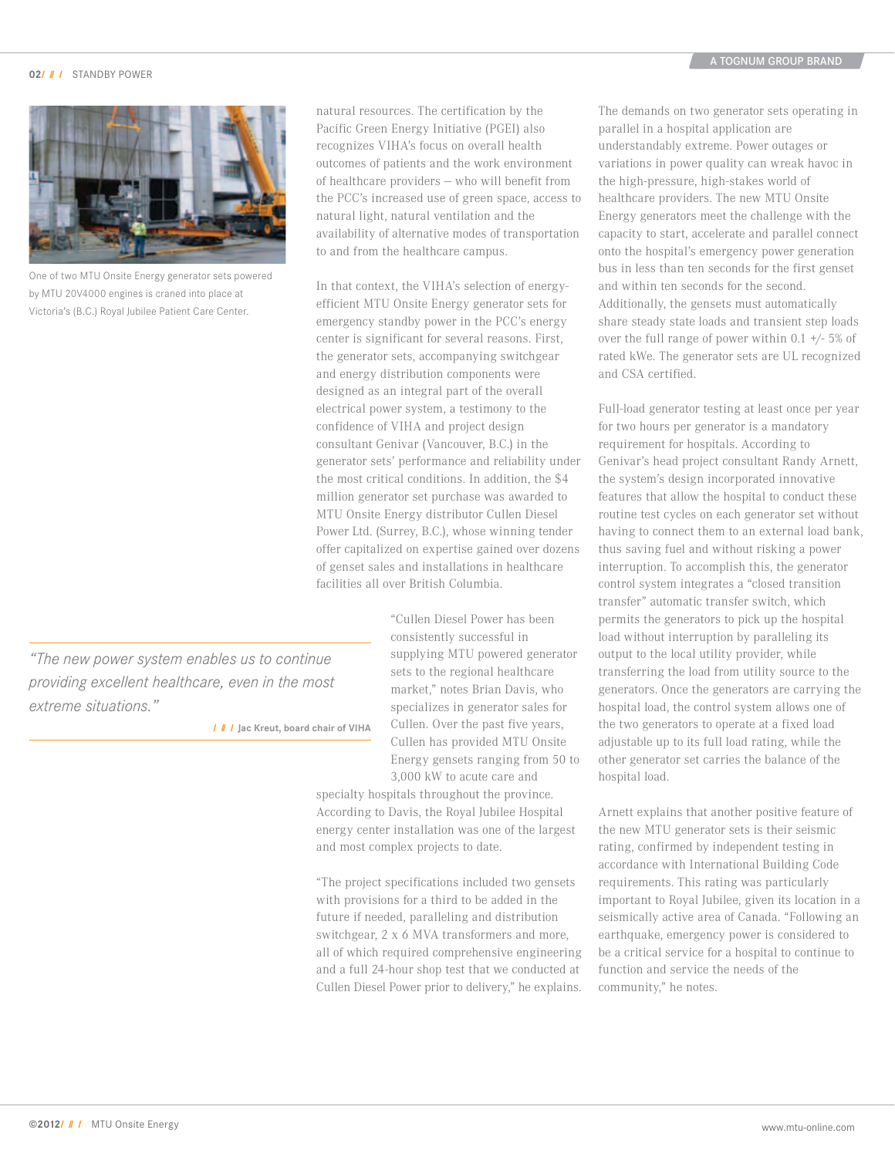#### **02/ // /** STANDBY POWER



One of two MTU Onsite Energy generator sets powered by MTU 20V4000 engines is craned into place at Victoria's (B.C.) Royal Jubilee Patient Care Center.

*"The new power system enables us to continue providing excellent healthcare, even in the most extreme situations."*

**/ // / Jac Kreut, board chair of VIHA**

natural resources. The certification by the Pacific Green Energy Initiative (PGEI) also recognizes VIHA's focus on overall health outcomes of patients and the work environment of healthcare providers — who will benefit from the PCC's increased use of green space, access to natural light, natural ventilation and the availability of alternative modes of transportation to and from the healthcare campus.

In that context, the VIHA's selection of energyefficient MTU Onsite Energy generator sets for emergency standby power in the PCC's energy center is significant for several reasons. First, the generator sets, accompanying switchgear and energy distribution components were designed as an integral part of the overall electrical power system, a testimony to the confidence of VIHA and project design consultant Genivar (Vancouver, B.C.) in the generator sets' performance and reliability under the most critical conditions. In addition, the \$4 million generator set purchase was awarded to MTU Onsite Energy distributor Cullen Diesel Power Ltd. (Surrey, B.C.), whose winning tender offer capitalized on expertise gained over dozens of genset sales and installations in healthcare facilities all over British Columbia.

> "Cullen Diesel Power has been consistently successful in supplying MTU powered generator sets to the regional healthcare market," notes Brian Davis, who specializes in generator sales for Cullen. Over the past five years, Cullen has provided MTU Onsite Energy gensets ranging from 50 to 3,000 kW to acute care and

specialty hospitals throughout the province. According to Davis, the Royal Jubilee Hospital energy center installation was one of the largest and most complex projects to date.

"The project specifications included two gensets with provisions for a third to be added in the future if needed, paralleling and distribution switchgear, 2 x 6 MVA transformers and more, all of which required comprehensive engineering and a full 24-hour shop test that we conducted at Cullen Diesel Power prior to delivery," he explains.

The demands on two generator sets operating in parallel in a hospital application are understandably extreme. Power outages or variations in power quality can wreak havoc in the high-pressure, high-stakes world of healthcare providers. The new MTU Onsite Energy generators meet the challenge with the capacity to start, accelerate and parallel connect onto the hospital's emergency power generation bus in less than ten seconds for the first genset and within ten seconds for the second. Additionally, the gensets must automatically share steady state loads and transient step loads over the full range of power within 0.1 +/- 5% of rated kWe. The generator sets are UL recognized and CSA certified.

Full-load generator testing at least once per year for two hours per generator is a mandatory requirement for hospitals. According to Genivar's head project consultant Randy Arnett, the system's design incorporated innovative features that allow the hospital to conduct these routine test cycles on each generator set without having to connect them to an external load bank, thus saving fuel and without risking a power interruption. To accomplish this, the generator control system integrates a "closed transition transfer" automatic transfer switch, which permits the generators to pick up the hospital load without interruption by paralleling its output to the local utility provider, while transferring the load from utility source to the generators. Once the generators are carrying the hospital load, the control system allows one of the two generators to operate at a fixed load adjustable up to its full load rating, while the other generator set carries the balance of the hospital load.

Arnett explains that another positive feature of the new MTU generator sets is their seismic rating, confirmed by independent testing in accordance with International Building Code requirements. This rating was particularly important to Royal Jubilee, given its location in a seismically active area of Canada. "Following an earthquake, emergency power is considered to be a critical service for a hospital to continue to function and service the needs of the community," he notes.